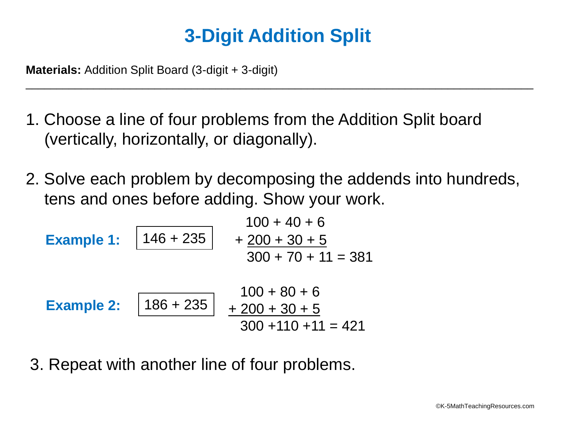## **3-Digit Addition Split**

\_\_\_\_\_\_\_\_\_\_\_\_\_\_\_\_\_\_\_\_\_\_\_\_\_\_\_\_\_\_\_\_\_\_\_\_\_\_\_\_\_\_\_\_\_\_\_\_\_\_\_\_\_\_\_\_\_\_\_\_\_\_\_\_\_\_\_\_\_\_\_\_\_\_\_\_\_\_\_\_\_\_\_

**Materials:** Addition Split Board (3-digit + 3-digit)

- 1. Choose a line of four problems from the Addition Split board (vertically, horizontally, or diagonally).
- 2. Solve each problem by decomposing the addends into hundreds, tens and ones before adding. Show your work.

| 100 + 40 + 6           |                  |
|------------------------|------------------|
| Example 1:             |                  |
| $146 + 235$            | $+ 200 + 30 + 5$ |
| $300 + 70 + 11 = 381$  |                  |
| Example 2:             |                  |
| $186 + 235$            | $+ 200 + 30 + 6$ |
| $300 + 110 + 11 = 421$ |                  |

3. Repeat with another line of four problems.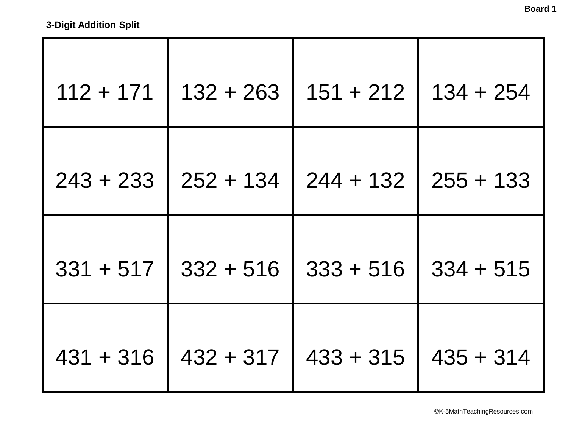| $112 + 171$ | $132 + 263$ | $151 + 212$ | $134 + 254$ |
|-------------|-------------|-------------|-------------|
| $243 + 233$ | $252 + 134$ | $244 + 132$ | $255 + 133$ |
| $331 + 517$ | $332 + 516$ | $333 + 516$ | $334 + 515$ |
| $431 + 316$ | $432 + 317$ | $433 + 315$ | $435 + 314$ |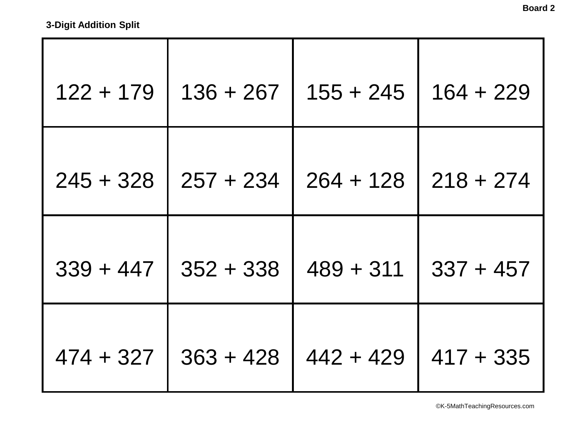| $122 + 179$ | $136 + 267$ | $155 + 245$ | $164 + 229$ |
|-------------|-------------|-------------|-------------|
| $245 + 328$ | $257 + 234$ | $264 + 128$ | $218 + 274$ |
| $339 + 447$ | $352 + 338$ | $489 + 311$ | $337 + 457$ |
| $474 + 327$ | $363 + 428$ | $442 + 429$ | $417 + 335$ |